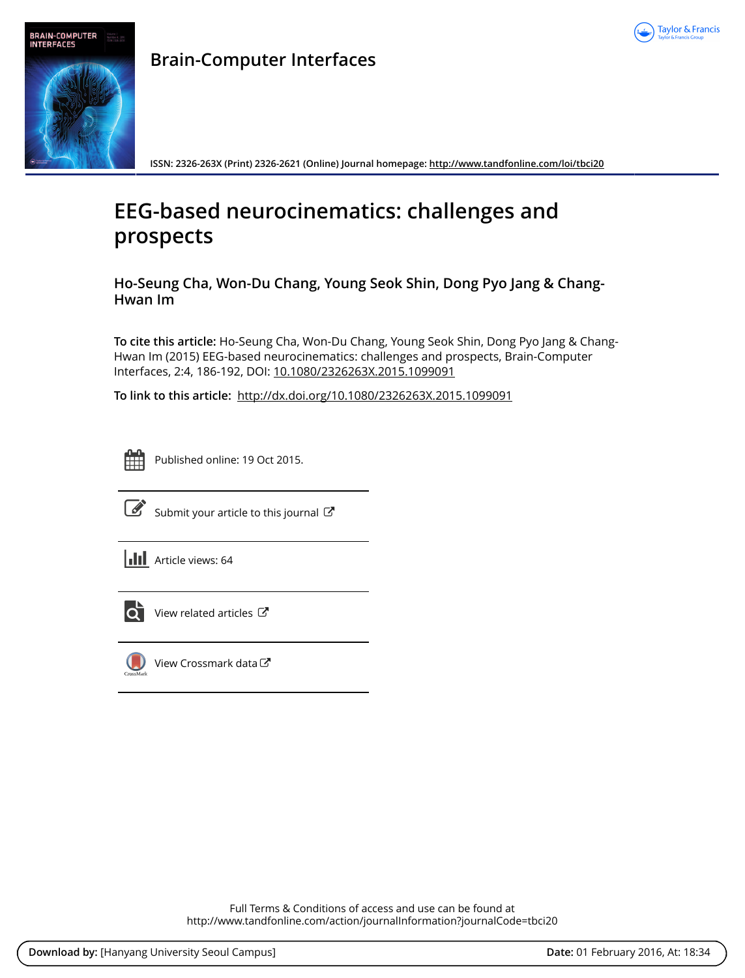



**Brain-Computer Interfaces**

**ISSN: 2326-263X (Print) 2326-2621 (Online) Journal homepage: <http://www.tandfonline.com/loi/tbci20>**

# **EEG-based neurocinematics: challenges and prospects**

**Ho-Seung Cha, Won-Du Chang, Young Seok Shin, Dong Pyo Jang & Chang-Hwan Im**

**To cite this article:** Ho-Seung Cha, Won-Du Chang, Young Seok Shin, Dong Pyo Jang & Chang-Hwan Im (2015) EEG-based neurocinematics: challenges and prospects, Brain-Computer Interfaces, 2:4, 186-192, DOI: [10.1080/2326263X.2015.1099091](http://www.tandfonline.com/action/showCitFormats?doi=10.1080/2326263X.2015.1099091)

**To link to this article:** <http://dx.doi.org/10.1080/2326263X.2015.1099091>



Published online: 19 Oct 2015.



 $\overrightarrow{S}$  [Submit your article to this journal](http://www.tandfonline.com/action/authorSubmission?journalCode=tbci20&page=instructions)  $\overrightarrow{S}$ 

**III** Article views: 64



[View related articles](http://www.tandfonline.com/doi/mlt/10.1080/2326263X.2015.1099091)  $\mathbb{Z}$ 



[View Crossmark data](http://crossmark.crossref.org/dialog/?doi=10.1080/2326263X.2015.1099091&domain=pdf&date_stamp=2015-10-19) C

Full Terms & Conditions of access and use can be found at <http://www.tandfonline.com/action/journalInformation?journalCode=tbci20>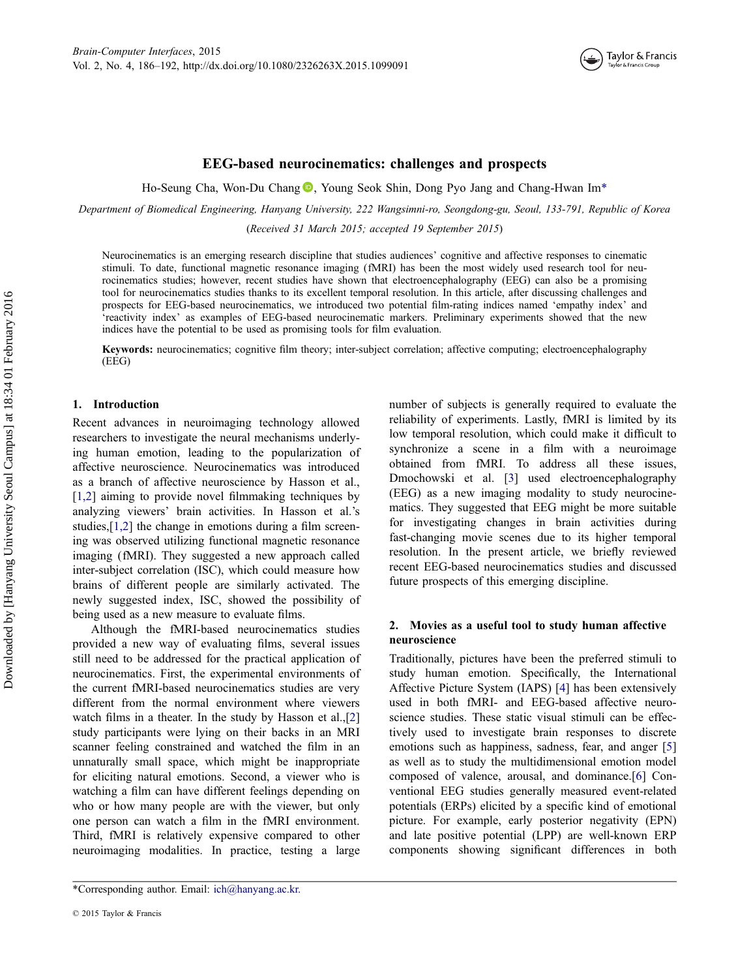

# EEG-based neurocinematics: challenges and prospects

Ho-Seung Cha[,](http://orcid.org/0000-0002-7437-4211) Won-Du Chang  $\textcircled{1}$ , Young Seok Shin, Dong Pyo Jang and Chang-Hwan Im\*

Department of Biomedical Engineering, Hanyang University, 222 Wangsimni-ro, Seongdong-gu, Seoul, 133-791, Republic of Korea

(Received 31 March 2015; accepted 19 September 2015)

Neurocinematics is an emerging research discipline that studies audiences' cognitive and affective responses to cinematic stimuli. To date, functional magnetic resonance imaging (fMRI) has been the most widely used research tool for neurocinematics studies; however, recent studies have shown that electroencephalography (EEG) can also be a promising tool for neurocinematics studies thanks to its excellent temporal resolution. In this article, after discussing challenges and prospects for EEG-based neurocinematics, we introduced two potential film-rating indices named 'empathy index' and 'reactivity index' as examples of EEG-based neurocinematic markers. Preliminary experiments showed that the new indices have the potential to be used as promising tools for film evaluation.

Keywords: neurocinematics; cognitive film theory; inter-subject correlation; affective computing; electroencephalography (EEG)

## 1. Introduction

Recent advances in neuroimaging technology allowed researchers to investigate the neural mechanisms underlying human emotion, leading to the popularization of affective neuroscience. Neurocinematics was introduced as a branch of affective neuroscience by Hasson et al., [\[1,2\]](#page-6-0) aiming to provide novel filmmaking techniques by analyzing viewers' brain activities. In Hasson et al.'s studies,[\[1,2\]](#page-6-0) the change in emotions during a film screening was observed utilizing functional magnetic resonance imaging (fMRI). They suggested a new approach called inter-subject correlation (ISC), which could measure how brains of different people are similarly activated. The newly suggested index, ISC, showed the possibility of being used as a new measure to evaluate films.

Although the fMRI-based neurocinematics studies provided a new way of evaluating films, several issues still need to be addressed for the practical application of neurocinematics. First, the experimental environments of the current fMRI-based neurocinematics studies are very different from the normal environment where viewers watch films in a theater. In the study by Hasson et al.,[[2\]](#page-6-0) study participants were lying on their backs in an MRI scanner feeling constrained and watched the film in an unnaturally small space, which might be inappropriate for eliciting natural emotions. Second, a viewer who is watching a film can have different feelings depending on who or how many people are with the viewer, but only one person can watch a film in the fMRI environment. Third, fMRI is relatively expensive compared to other neuroimaging modalities. In practice, testing a large

\*Corresponding author. Email: [ich@hanyang.ac.kr.](mailto:ich@hanyang.ac.kr)

number of subjects is generally required to evaluate the reliability of experiments. Lastly, fMRI is limited by its low temporal resolution, which could make it difficult to synchronize a scene in a film with a neuroimage obtained from fMRI. To address all these issues, Dmochowski et al. [\[3](#page-6-0)] used electroencephalography (EEG) as a new imaging modality to study neurocinematics. They suggested that EEG might be more suitable for investigating changes in brain activities during fast-changing movie scenes due to its higher temporal resolution. In the present article, we briefly reviewed recent EEG-based neurocinematics studies and discussed future prospects of this emerging discipline.

# 2. Movies as a useful tool to study human affective neuroscience

Traditionally, pictures have been the preferred stimuli to study human emotion. Specifically, the International Affective Picture System (IAPS) [\[4](#page-6-0)] has been extensively used in both fMRI- and EEG-based affective neuroscience studies. These static visual stimuli can be effectively used to investigate brain responses to discrete emotions such as happiness, sadness, fear, and anger [[5\]](#page-6-0) as well as to study the multidimensional emotion model composed of valence, arousal, and dominance.[\[6](#page-6-0)] Conventional EEG studies generally measured event-related potentials (ERPs) elicited by a specific kind of emotional picture. For example, early posterior negativity (EPN) and late positive potential (LPP) are well-known ERP components showing significant differences in both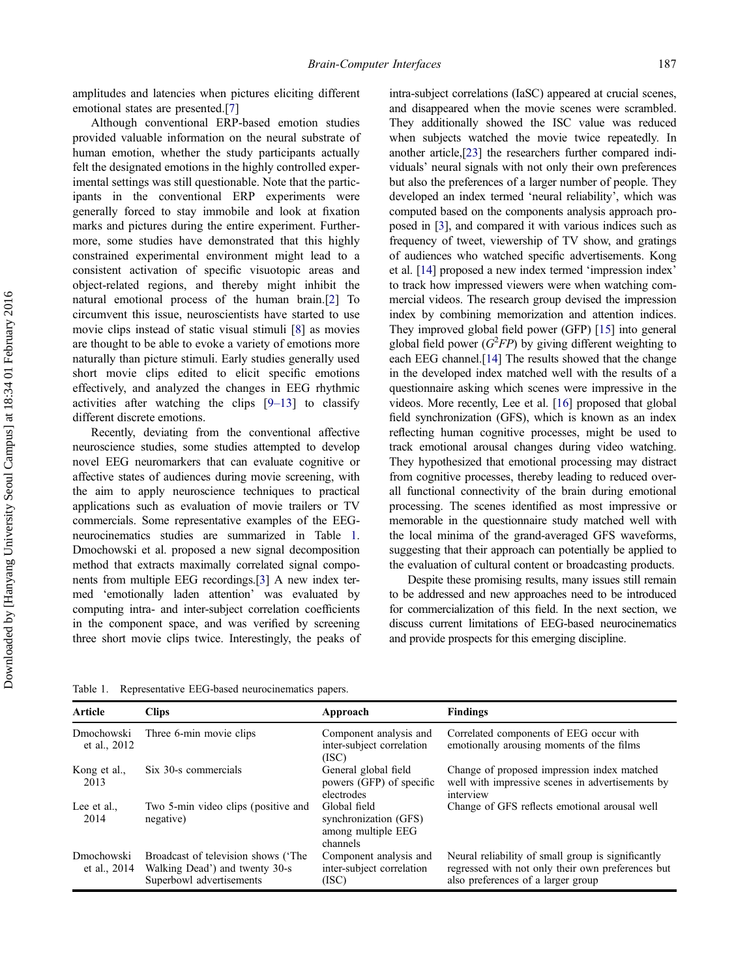amplitudes and latencies when pictures eliciting different emotional states are presented.[[7\]](#page-6-0)

Although conventional ERP-based emotion studies provided valuable information on the neural substrate of human emotion, whether the study participants actually felt the designated emotions in the highly controlled experimental settings was still questionable. Note that the participants in the conventional ERP experiments were generally forced to stay immobile and look at fixation marks and pictures during the entire experiment. Furthermore, some studies have demonstrated that this highly constrained experimental environment might lead to a consistent activation of specific visuotopic areas and object-related regions, and thereby might inhibit the natural emotional process of the human brain.[\[2](#page-6-0)] To circumvent this issue, neuroscientists have started to use movie clips instead of static visual stimuli [[8\]](#page-6-0) as movies are thought to be able to evoke a variety of emotions more naturally than picture stimuli. Early studies generally used short movie clips edited to elicit specific emotions effectively, and analyzed the changes in EEG rhythmic activities after watching the clips [9–[13](#page-6-0)] to classify different discrete emotions.

Recently, deviating from the conventional affective neuroscience studies, some studies attempted to develop novel EEG neuromarkers that can evaluate cognitive or affective states of audiences during movie screening, with the aim to apply neuroscience techniques to practical applications such as evaluation of movie trailers or TV commercials. Some representative examples of the EEGneurocinematics studies are summarized in Table 1. Dmochowski et al. proposed a new signal decomposition method that extracts maximally correlated signal components from multiple EEG recordings.[[3\]](#page-6-0) A new index termed 'emotionally laden attention' was evaluated by computing intra- and inter-subject correlation coefficients in the component space, and was verified by screening three short movie clips twice. Interestingly, the peaks of

intra-subject correlations (IaSC) appeared at crucial scenes, and disappeared when the movie scenes were scrambled. They additionally showed the ISC value was reduced when subjects watched the movie twice repeatedly. In another article,[\[23](#page-6-0)] the researchers further compared individuals' neural signals with not only their own preferences but also the preferences of a larger number of people. They developed an index termed 'neural reliability', which was computed based on the components analysis approach proposed in [\[3\]](#page-6-0), and compared it with various indices such as frequency of tweet, viewership of TV show, and gratings of audiences who watched specific advertisements. Kong et al. [\[14\]](#page-6-0) proposed a new index termed 'impression index' to track how impressed viewers were when watching commercial videos. The research group devised the impression index by combining memorization and attention indices. They improved global field power (GFP) [\[15\]](#page-6-0) into general global field power  $(G^2FP)$  by giving different weighting to each EEG channel.[\[14](#page-6-0)] The results showed that the change in the developed index matched well with the results of a questionnaire asking which scenes were impressive in the videos. More recently, Lee et al. [[16](#page-6-0)] proposed that global field synchronization (GFS), which is known as an index reflecting human cognitive processes, might be used to track emotional arousal changes during video watching. They hypothesized that emotional processing may distract from cognitive processes, thereby leading to reduced overall functional connectivity of the brain during emotional processing. The scenes identified as most impressive or memorable in the questionnaire study matched well with the local minima of the grand-averaged GFS waveforms, suggesting that their approach can potentially be applied to the evaluation of cultural content or broadcasting products.

Despite these promising results, many issues still remain to be addressed and new approaches need to be introduced for commercialization of this field. In the next section, we discuss current limitations of EEG-based neurocinematics and provide prospects for this emerging discipline.

Table 1. Representative EEG-based neurocinematics papers.

| <b>Article</b>             | <b>Clips</b>                                                                                      | Approach                                                                | <b>Findings</b>                                                                                                                               |
|----------------------------|---------------------------------------------------------------------------------------------------|-------------------------------------------------------------------------|-----------------------------------------------------------------------------------------------------------------------------------------------|
| Dmochowski<br>et al., 2012 | Three 6-min movie clips                                                                           | Component analysis and<br>inter-subject correlation<br>(ISC)            | Correlated components of EEG occur with<br>emotionally arousing moments of the films                                                          |
| Kong et al.,<br>2013       | Six 30-s commercials                                                                              | General global field<br>powers (GFP) of specific<br>electrodes          | Change of proposed impression index matched<br>well with impressive scenes in advertisements by<br>interview                                  |
| Lee et al.,<br>2014        | Two 5-min video clips (positive and<br>negative)                                                  | Global field<br>synchronization (GFS)<br>among multiple EEG<br>channels | Change of GFS reflects emotional arousal well                                                                                                 |
| Dmochowski<br>et al., 2014 | Broadcast of television shows ('The<br>Walking Dead') and twenty 30-s<br>Superbowl advertisements | Component analysis and<br>inter-subject correlation<br>(ISC)            | Neural reliability of small group is significantly<br>regressed with not only their own preferences but<br>also preferences of a larger group |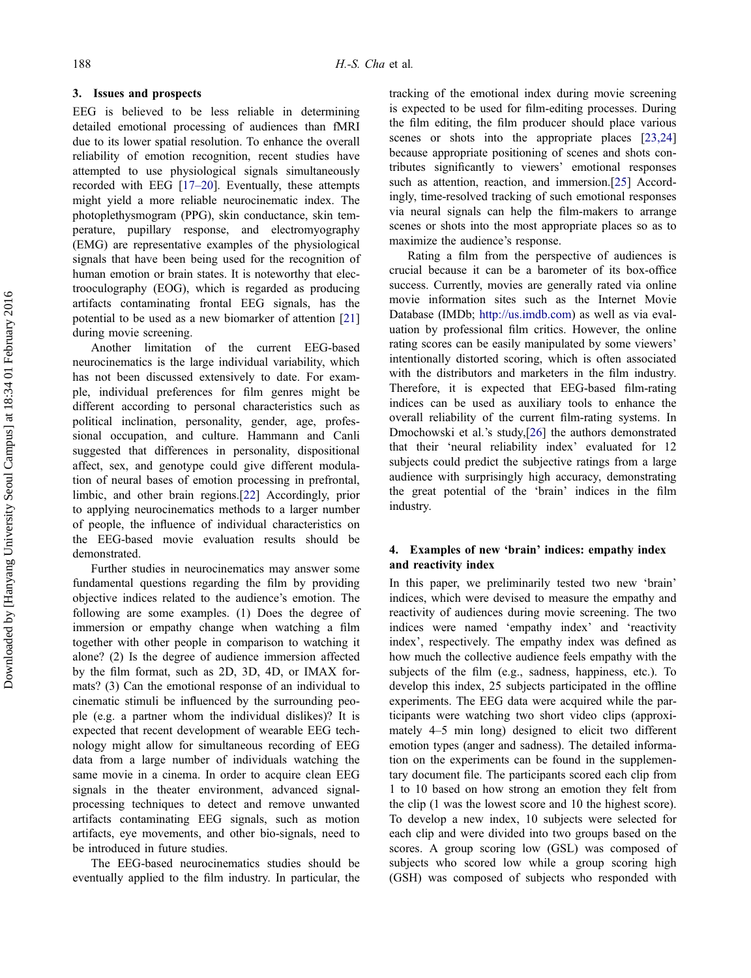## 3. Issues and prospects

EEG is believed to be less reliable in determining detailed emotional processing of audiences than fMRI due to its lower spatial resolution. To enhance the overall reliability of emotion recognition, recent studies have attempted to use physiological signals simultaneously recorded with EEG [\[17](#page-6-0)–20]. Eventually, these attempts might yield a more reliable neurocinematic index. The photoplethysmogram (PPG), skin conductance, skin temperature, pupillary response, and electromyography (EMG) are representative examples of the physiological signals that have been being used for the recognition of human emotion or brain states. It is noteworthy that electrooculography (EOG), which is regarded as producing artifacts contaminating frontal EEG signals, has the potential to be used as a new biomarker of attention [[21\]](#page-6-0) during movie screening.

Another limitation of the current EEG-based neurocinematics is the large individual variability, which has not been discussed extensively to date. For example, individual preferences for film genres might be different according to personal characteristics such as political inclination, personality, gender, age, professional occupation, and culture. Hammann and Canli suggested that differences in personality, dispositional affect, sex, and genotype could give different modulation of neural bases of emotion processing in prefrontal, limbic, and other brain regions.[[22\]](#page-6-0) Accordingly, prior to applying neurocinematics methods to a larger number of people, the influence of individual characteristics on the EEG-based movie evaluation results should be demonstrated.

Further studies in neurocinematics may answer some fundamental questions regarding the film by providing objective indices related to the audience's emotion. The following are some examples. (1) Does the degree of immersion or empathy change when watching a film together with other people in comparison to watching it alone? (2) Is the degree of audience immersion affected by the film format, such as 2D, 3D, 4D, or IMAX formats? (3) Can the emotional response of an individual to cinematic stimuli be influenced by the surrounding people (e.g. a partner whom the individual dislikes)? It is expected that recent development of wearable EEG technology might allow for simultaneous recording of EEG data from a large number of individuals watching the same movie in a cinema. In order to acquire clean EEG signals in the theater environment, advanced signalprocessing techniques to detect and remove unwanted artifacts contaminating EEG signals, such as motion artifacts, eye movements, and other bio-signals, need to be introduced in future studies.

The EEG-based neurocinematics studies should be eventually applied to the film industry. In particular, the

tracking of the emotional index during movie screening is expected to be used for film-editing processes. During the film editing, the film producer should place various scenes or shots into the appropriate places [\[23,24\]](#page-6-0) because appropriate positioning of scenes and shots contributes significantly to viewers' emotional responses such as attention, reaction, and immersion.[[25\]](#page-6-0) Accordingly, time-resolved tracking of such emotional responses via neural signals can help the film-makers to arrange scenes or shots into the most appropriate places so as to maximize the audience's response.

Rating a film from the perspective of audiences is crucial because it can be a barometer of its box-office success. Currently, movies are generally rated via online movie information sites such as the Internet Movie Database (IMDb; [http://us.imdb.com\)](http://us.imdb.com) as well as via evaluation by professional film critics. However, the online rating scores can be easily manipulated by some viewers' intentionally distorted scoring, which is often associated with the distributors and marketers in the film industry. Therefore, it is expected that EEG-based film-rating indices can be used as auxiliary tools to enhance the overall reliability of the current film-rating systems. In Dmochowski et al.'s study,[\[26](#page-6-0)] the authors demonstrated that their 'neural reliability index' evaluated for 12 subjects could predict the subjective ratings from a large audience with surprisingly high accuracy, demonstrating the great potential of the 'brain' indices in the film industry.

# 4. Examples of new 'brain' indices: empathy index and reactivity index

In this paper, we preliminarily tested two new 'brain' indices, which were devised to measure the empathy and reactivity of audiences during movie screening. The two indices were named 'empathy index' and 'reactivity index', respectively. The empathy index was defined as how much the collective audience feels empathy with the subjects of the film (e.g., sadness, happiness, etc.). To develop this index, 25 subjects participated in the offline experiments. The EEG data were acquired while the participants were watching two short video clips (approximately 4–5 min long) designed to elicit two different emotion types (anger and sadness). The detailed information on the experiments can be found in the supplementary document file. The participants scored each clip from 1 to 10 based on how strong an emotion they felt from the clip (1 was the lowest score and 10 the highest score). To develop a new index, 10 subjects were selected for each clip and were divided into two groups based on the scores. A group scoring low (GSL) was composed of subjects who scored low while a group scoring high (GSH) was composed of subjects who responded with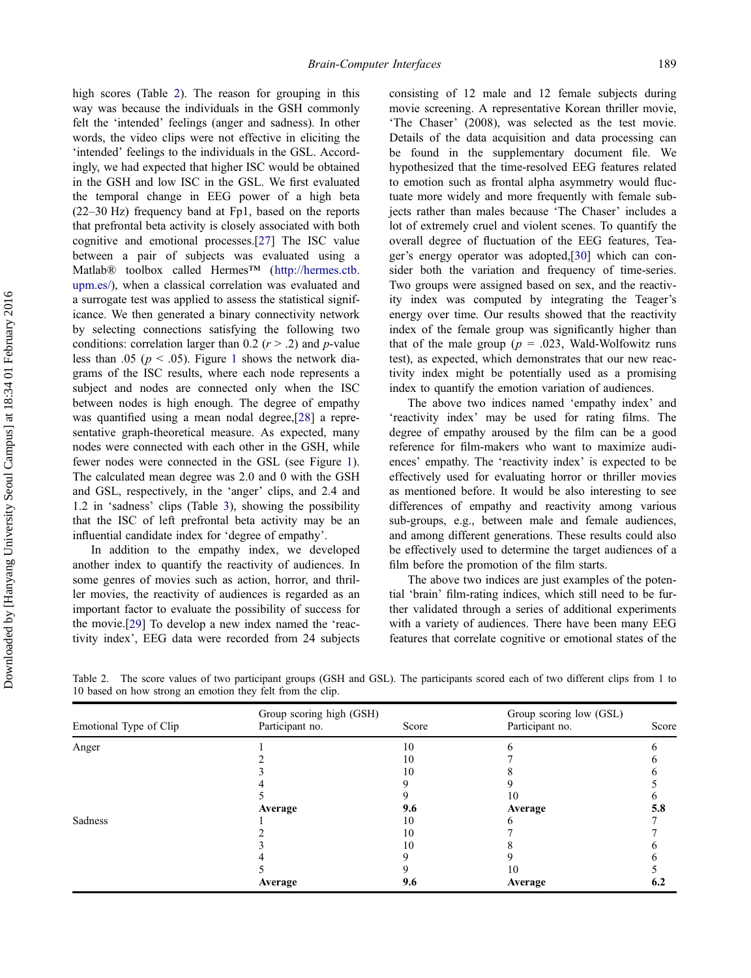high scores (Table 2). The reason for grouping in this way was because the individuals in the GSH commonly felt the 'intended' feelings (anger and sadness). In other words, the video clips were not effective in eliciting the 'intended' feelings to the individuals in the GSL. Accordingly, we had expected that higher ISC would be obtained in the GSH and low ISC in the GSL. We first evaluated the temporal change in EEG power of a high beta (22–30 Hz) frequency band at Fp1, based on the reports that prefrontal beta activity is closely associated with both cognitive and emotional processes.[[27\]](#page-6-0) The ISC value between a pair of subjects was evaluated using a Matlab® toolbox called Hermes™ [\(http://hermes.ctb.](http://hermes.ctb.upm.es/) [upm.es/](http://hermes.ctb.upm.es/)), when a classical correlation was evaluated and a surrogate test was applied to assess the statistical significance. We then generated a binary connectivity network by selecting connections satisfying the following two conditions: correlation larger than 0.2 ( $r > 0.2$ ) and p-value less than .05 ( $p < .05$ ). Figure [1](#page-5-0) shows the network diagrams of the ISC results, where each node represents a subject and nodes are connected only when the ISC between nodes is high enough. The degree of empathy was quantified using a mean nodal degree,[\[28](#page-6-0)] a representative graph-theoretical measure. As expected, many nodes were connected with each other in the GSH, while fewer nodes were connected in the GSL (see Figure [1](#page-5-0)). The calculated mean degree was 2.0 and 0 with the GSH and GSL, respectively, in the 'anger' clips, and 2.4 and 1.2 in 'sadness' clips (Table [3](#page-5-0)), showing the possibility that the ISC of left prefrontal beta activity may be an influential candidate index for 'degree of empathy'.

In addition to the empathy index, we developed another index to quantify the reactivity of audiences. In some genres of movies such as action, horror, and thriller movies, the reactivity of audiences is regarded as an important factor to evaluate the possibility of success for the movie.[[29\]](#page-6-0) To develop a new index named the 'reactivity index', EEG data were recorded from 24 subjects

consisting of 12 male and 12 female subjects during movie screening. A representative Korean thriller movie, 'The Chaser' (2008), was selected as the test movie. Details of the data acquisition and data processing can be found in the supplementary document file. We hypothesized that the time-resolved EEG features related to emotion such as frontal alpha asymmetry would fluctuate more widely and more frequently with female subjects rather than males because 'The Chaser' includes a lot of extremely cruel and violent scenes. To quantify the overall degree of fluctuation of the EEG features, Teager's energy operator was adopted,[\[30](#page-6-0)] which can consider both the variation and frequency of time-series. Two groups were assigned based on sex, and the reactivity index was computed by integrating the Teager's energy over time. Our results showed that the reactivity index of the female group was significantly higher than that of the male group ( $p = .023$ , Wald-Wolfowitz runs test), as expected, which demonstrates that our new reactivity index might be potentially used as a promising index to quantify the emotion variation of audiences.

The above two indices named 'empathy index' and 'reactivity index' may be used for rating films. The degree of empathy aroused by the film can be a good reference for film-makers who want to maximize audiences' empathy. The 'reactivity index' is expected to be effectively used for evaluating horror or thriller movies as mentioned before. It would be also interesting to see differences of empathy and reactivity among various sub-groups, e.g., between male and female audiences, and among different generations. These results could also be effectively used to determine the target audiences of a film before the promotion of the film starts.

The above two indices are just examples of the potential 'brain' film-rating indices, which still need to be further validated through a series of additional experiments with a variety of audiences. There have been many EEG features that correlate cognitive or emotional states of the

| Emotional Type of Clip | Group scoring high (GSH)<br>Participant no.<br>Score |     | Group scoring low (GSL)<br>Participant no.<br>Score |     |
|------------------------|------------------------------------------------------|-----|-----------------------------------------------------|-----|
| Anger                  |                                                      | 10  |                                                     |     |
|                        |                                                      | 10  |                                                     |     |
|                        |                                                      | 10  |                                                     |     |
|                        |                                                      |     |                                                     |     |
|                        |                                                      |     | 10                                                  |     |
|                        | Average                                              | 9.6 | Average                                             | 5.8 |
| Sadness                |                                                      | 10  |                                                     |     |
|                        |                                                      | 10  |                                                     |     |
|                        |                                                      | 10  |                                                     |     |
|                        |                                                      |     |                                                     |     |
|                        |                                                      |     | 10                                                  |     |
|                        | Average                                              | 9.6 | Average                                             | 6.2 |

Table 2. The score values of two participant groups (GSH and GSL). The participants scored each of two different clips from 1 to 10 based on how strong an emotion they felt from the clip.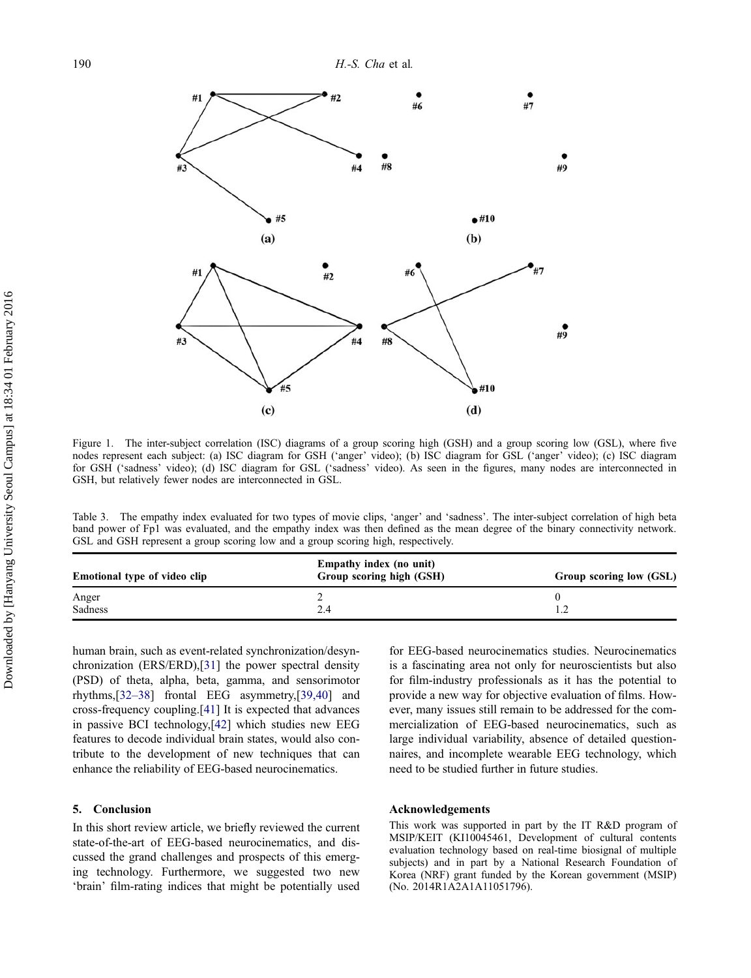<span id="page-5-0"></span>

Figure 1. The inter-subject correlation (ISC) diagrams of a group scoring high (GSH) and a group scoring low (GSL), where five nodes represent each subject: (a) ISC diagram for GSH ('anger' video); (b) ISC diagram for GSL ('anger' video); (c) ISC diagram for GSH ('sadness' video); (d) ISC diagram for GSL ('sadness' video). As seen in the figures, many nodes are interconnected in GSH, but relatively fewer nodes are interconnected in GSL.

Table 3. The empathy index evaluated for two types of movie clips, 'anger' and 'sadness'. The inter-subject correlation of high beta band power of Fp1 was evaluated, and the empathy index was then defined as the mean degree of the binary connectivity network. GSL and GSH represent a group scoring low and a group scoring high, respectively.

|                | Group scoring low (GSL) |
|----------------|-------------------------|
| Anger          |                         |
| Sadness<br>2.4 |                         |

human brain, such as event-related synchronization/desynchronization (ERS/ERD),[[31\]](#page-6-0) the power spectral density (PSD) of theta, alpha, beta, gamma, and sensorimotor rhythms,[\[32](#page-6-0)–38] frontal EEG asymmetry,[[39,40](#page-7-0)] and cross-frequency coupling.[\[41](#page-7-0)] It is expected that advances in passive BCI technology,[\[42](#page-7-0)] which studies new EEG features to decode individual brain states, would also contribute to the development of new techniques that can enhance the reliability of EEG-based neurocinematics.

## 5. Conclusion

In this short review article, we briefly reviewed the current state-of-the-art of EEG-based neurocinematics, and discussed the grand challenges and prospects of this emerging technology. Furthermore, we suggested two new 'brain' film-rating indices that might be potentially used for EEG-based neurocinematics studies. Neurocinematics is a fascinating area not only for neuroscientists but also for film-industry professionals as it has the potential to provide a new way for objective evaluation of films. However, many issues still remain to be addressed for the commercialization of EEG-based neurocinematics, such as large individual variability, absence of detailed questionnaires, and incomplete wearable EEG technology, which need to be studied further in future studies.

#### Acknowledgements

This work was supported in part by the IT R&D program of MSIP/KEIT (KI10045461, Development of cultural contents evaluation technology based on real-time biosignal of multiple subjects) and in part by a National Research Foundation of Korea (NRF) grant funded by the Korean government (MSIP) (No. 2014R1A2A1A11051796).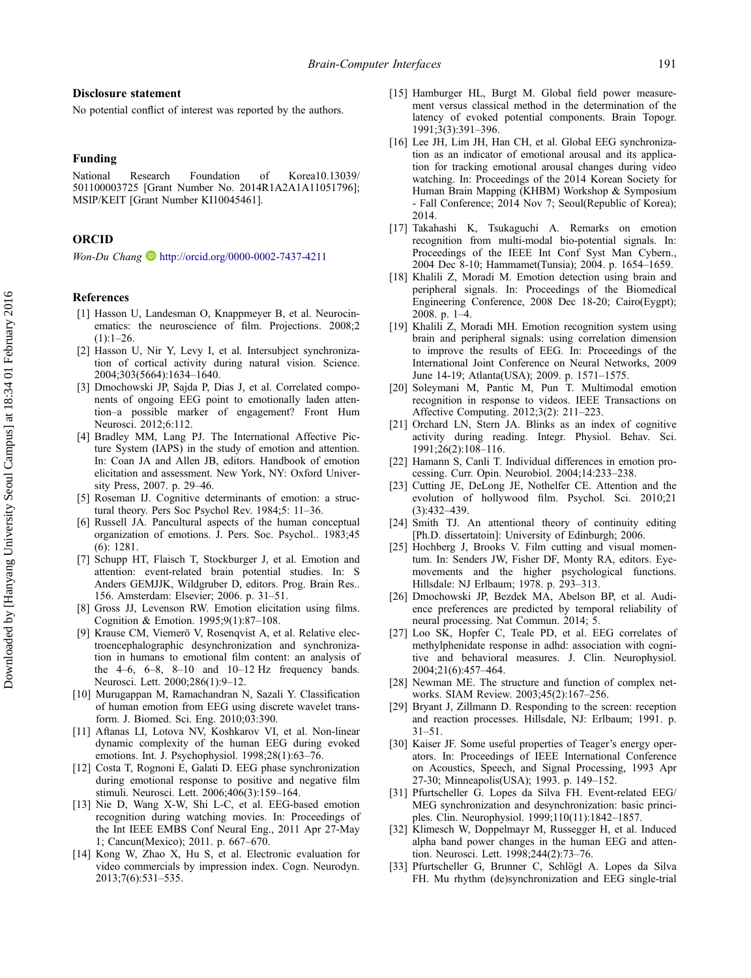#### <span id="page-6-0"></span>Disclosure statement

No potential conflict of interest was reported by the authors.

#### Funding

National Research Foundation of Korea10.13039/ 501100003725 [Grant Number No. 2014R1A2A1A11051796]; MSIP/KEIT [Grant Number KI10045461].

#### **ORCID**

Won-Du Chang <http://orcid.org/0000-0002-7437-4211>

## References

- [1] Hasson U, Landesman O, Knappmeyer B, et al. Neurocinematics: the neuroscience of film. Projections. 2008;2  $(1):1-26.$
- [2] Hasson U, Nir Y, Levy I, et al. Intersubject synchronization of cortical activity during natural vision. Science. 2004;303(5664):1634–1640.
- [3] Dmochowski JP, Sajda P, Dias J, et al. Correlated components of ongoing EEG point to emotionally laden attention–a possible marker of engagement? Front Hum Neurosci. 2012;6:112.
- [4] Bradley MM, Lang PJ. The International Affective Picture System (IAPS) in the study of emotion and attention. In: Coan JA and Allen JB, editors. Handbook of emotion elicitation and assessment. New York, NY: Oxford University Press, 2007. p. 29–46.
- [5] Roseman IJ. Cognitive determinants of emotion: a structural theory. Pers Soc Psychol Rev. 1984;5: 11–36.
- [6] Russell JA. Pancultural aspects of the human conceptual organization of emotions. J. Pers. Soc. Psychol.. 1983;45 (6): 1281.
- [7] Schupp HT, Flaisch T, Stockburger J, et al. Emotion and attention: event-related brain potential studies. In: S Anders GEMJJK, Wildgruber D, editors. Prog. Brain Res.. 156. Amsterdam: Elsevier; 2006. p. 31–51.
- [8] Gross JJ, Levenson RW. Emotion elicitation using films. Cognition & Emotion. 1995;9(1):87–108.
- [9] Krause CM, Viemerö V, Rosenqvist A, et al. Relative electroencephalographic desynchronization and synchronization in humans to emotional film content: an analysis of the  $4-6$ ,  $6-8$ ,  $8-10$  and  $10-12$  Hz frequency bands. Neurosci. Lett. 2000;286(1):9–12.
- [10] Murugappan M, Ramachandran N, Sazali Y. Classification of human emotion from EEG using discrete wavelet transform. J. Biomed. Sci. Eng. 2010;03:390.
- [11] Aftanas LI, Lotova NV, Koshkarov VI, et al. Non-linear dynamic complexity of the human EEG during evoked emotions. Int. J. Psychophysiol. 1998;28(1):63–76.
- [12] Costa T, Rognoni E, Galati D. EEG phase synchronization during emotional response to positive and negative film stimuli. Neurosci. Lett. 2006;406(3):159–164.
- [13] Nie D, Wang X-W, Shi L-C, et al. EEG-based emotion recognition during watching movies. In: Proceedings of the Int IEEE EMBS Conf Neural Eng., 2011 Apr 27-May 1; Cancun(Mexico); 2011. p. 667–670.
- [14] Kong W, Zhao X, Hu S, et al. Electronic evaluation for video commercials by impression index. Cogn. Neurodyn. 2013;7(6):531–535.
- [15] Hamburger HL, Burgt M. Global field power measurement versus classical method in the determination of the latency of evoked potential components. Brain Topogr. 1991;3(3):391–396.
- [16] Lee JH, Lim JH, Han CH, et al. Global EEG synchronization as an indicator of emotional arousal and its application for tracking emotional arousal changes during video watching. In: Proceedings of the 2014 Korean Society for Human Brain Mapping (KHBM) Workshop & Symposium - Fall Conference; 2014 Nov 7; Seoul(Republic of Korea); 2014.
- [17] Takahashi K, Tsukaguchi A. Remarks on emotion recognition from multi-modal bio-potential signals. In: Proceedings of the IEEE Int Conf Syst Man Cybern., 2004 Dec 8-10; Hammamet(Tunsia); 2004. p. 1654–1659.
- [18] Khalili Z, Moradi M. Emotion detection using brain and peripheral signals. In: Proceedings of the Biomedical Engineering Conference, 2008 Dec 18-20; Cairo(Eygpt); 2008. p. 1–4.
- [19] Khalili Z, Moradi MH. Emotion recognition system using brain and peripheral signals: using correlation dimension to improve the results of EEG. In: Proceedings of the International Joint Conference on Neural Networks, 2009 June 14-19; Atlanta(USA); 2009. p. 1571–1575.
- [20] Soleymani M, Pantic M, Pun T. Multimodal emotion recognition in response to videos. IEEE Transactions on Affective Computing. 2012;3(2): 211–223.
- [21] Orchard LN, Stern JA. Blinks as an index of cognitive activity during reading. Integr. Physiol. Behav. Sci. 1991;26(2):108–116.
- [22] Hamann S, Canli T. Individual differences in emotion processing. Curr. Opin. Neurobiol. 2004;14:233–238.
- [23] Cutting JE, DeLong JE, Nothelfer CE. Attention and the evolution of hollywood film. Psychol. Sci. 2010;21 (3):432–439.
- [24] Smith TJ. An attentional theory of continuity editing [Ph.D. dissertatoin]: University of Edinburgh; 2006.
- [25] Hochberg J, Brooks V. Film cutting and visual momentum. In: Senders JW, Fisher DF, Monty RA, editors. Eyemovements and the higher psychological functions. Hillsdale: NJ Erlbaum; 1978. p. 293–313.
- [26] Dmochowski JP, Bezdek MA, Abelson BP, et al. Audience preferences are predicted by temporal reliability of neural processing. Nat Commun. 2014; 5.
- [27] Loo SK, Hopfer C, Teale PD, et al. EEG correlates of methylphenidate response in adhd: association with cognitive and behavioral measures. J. Clin. Neurophysiol. 2004;21(6):457–464.
- [28] Newman ME. The structure and function of complex networks. SIAM Review. 2003;45(2):167–256.
- [29] Bryant J, Zillmann D. Responding to the screen: reception and reaction processes. Hillsdale, NJ: Erlbaum; 1991. p. 31–51.
- [30] Kaiser JF. Some useful properties of Teager's energy operators. In: Proceedings of IEEE International Conference on Acoustics, Speech, and Signal Processing, 1993 Apr 27-30; Minneapolis(USA); 1993. p. 149–152.
- [31] Pfurtscheller G. Lopes da Silva FH. Event-related EEG/ MEG synchronization and desynchronization: basic principles. Clin. Neurophysiol. 1999;110(11):1842–1857.
- [32] Klimesch W, Doppelmayr M, Russegger H, et al. Induced alpha band power changes in the human EEG and attention. Neurosci. Lett. 1998;244(2):73–76.
- [33] Pfurtscheller G, Brunner C, Schlögl A. Lopes da Silva FH. Mu rhythm (de)synchronization and EEG single-trial